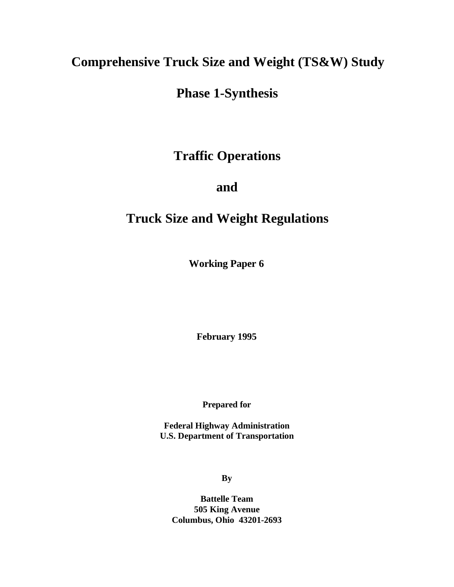## **Comprehensive Truck Size and Weight (TS&W) Study**

## **Phase 1-Synthesis**

## **Traffic Operations**

## **and**

# **Truck Size and Weight Regulations**

**Working Paper 6**

**February 1995**

**Prepared for**

**Federal Highway Administration U.S. Department of Transportation**

**By**

**Battelle Team 505 King Avenue Columbus, Ohio 43201-2693**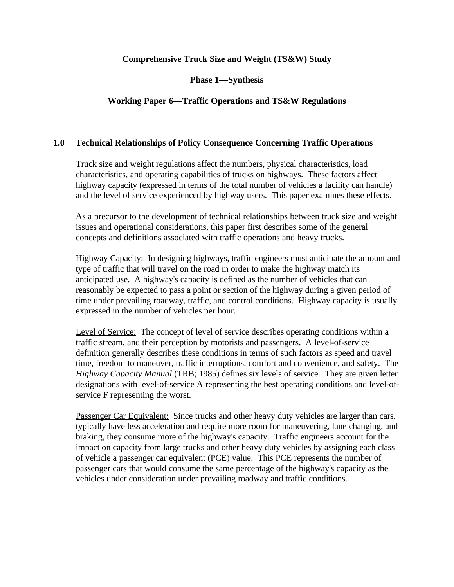### **Comprehensive Truck Size and Weight (TS&W) Study**

### **Phase 1—Synthesis**

### **Working Paper 6—Traffic Operations and TS&W Regulations**

#### **1.0 Technical Relationships of Policy Consequence Concerning Traffic Operations**

Truck size and weight regulations affect the numbers, physical characteristics, load characteristics, and operating capabilities of trucks on highways. These factors affect highway capacity (expressed in terms of the total number of vehicles a facility can handle) and the level of service experienced by highway users. This paper examines these effects.

As a precursor to the development of technical relationships between truck size and weight issues and operational considerations, this paper first describes some of the general concepts and definitions associated with traffic operations and heavy trucks.

Highway Capacity: In designing highways, traffic engineers must anticipate the amount and type of traffic that will travel on the road in order to make the highway match its anticipated use. A highway's capacity is defined as the number of vehicles that can reasonably be expected to pass a point or section of the highway during a given period of time under prevailing roadway, traffic, and control conditions. Highway capacity is usually expressed in the number of vehicles per hour.

Level of Service: The concept of level of service describes operating conditions within a traffic stream, and their perception by motorists and passengers. A level-of-service definition generally describes these conditions in terms of such factors as speed and travel time, freedom to maneuver, traffic interruptions, comfort and convenience, and safety. The *Highway Capacity Manual* (TRB; 1985) defines six levels of service. They are given letter designations with level-of-service A representing the best operating conditions and level-ofservice F representing the worst.

Passenger Car Equivalent: Since trucks and other heavy duty vehicles are larger than cars, typically have less acceleration and require more room for maneuvering, lane changing, and braking, they consume more of the highway's capacity. Traffic engineers account for the impact on capacity from large trucks and other heavy duty vehicles by assigning each class of vehicle a passenger car equivalent (PCE) value. This PCE represents the number of passenger cars that would consume the same percentage of the highway's capacity as the vehicles under consideration under prevailing roadway and traffic conditions.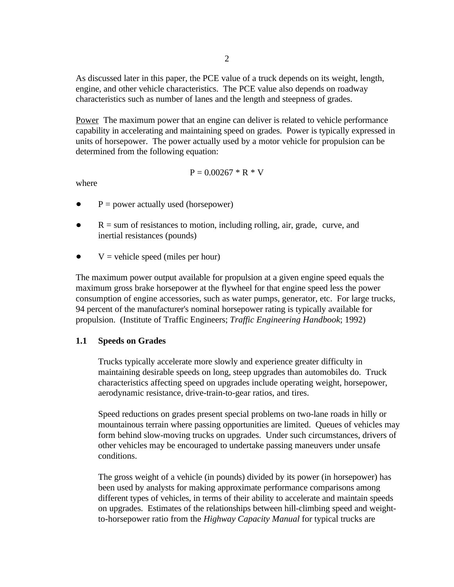As discussed later in this paper, the PCE value of a truck depends on its weight, length, engine, and other vehicle characteristics. The PCE value also depends on roadway characteristics such as number of lanes and the length and steepness of grades.

Power The maximum power that an engine can deliver is related to vehicle performance capability in accelerating and maintaining speed on grades. Power is typically expressed in units of horsepower. The power actually used by a motor vehicle for propulsion can be determined from the following equation:

$$
P = 0.00267 * R * V
$$

where

- $P = power actually used (horsepower)$
- $R = sum$  of resistances to motion, including rolling, air, grade, curve, and inertial resistances (pounds)
- $V =$  vehicle speed (miles per hour)

The maximum power output available for propulsion at a given engine speed equals the maximum gross brake horsepower at the flywheel for that engine speed less the power consumption of engine accessories, such as water pumps, generator, etc. For large trucks, 94 percent of the manufacturer's nominal horsepower rating is typically available for propulsion. (Institute of Traffic Engineers; *Traffic Engineering Handbook*; 1992)

#### **1.1 Speeds on Grades**

Trucks typically accelerate more slowly and experience greater difficulty in maintaining desirable speeds on long, steep upgrades than automobiles do. Truck characteristics affecting speed on upgrades include operating weight, horsepower, aerodynamic resistance, drive-train-to-gear ratios, and tires.

Speed reductions on grades present special problems on two-lane roads in hilly or mountainous terrain where passing opportunities are limited. Queues of vehicles may form behind slow-moving trucks on upgrades. Under such circumstances, drivers of other vehicles may be encouraged to undertake passing maneuvers under unsafe conditions.

The gross weight of a vehicle (in pounds) divided by its power (in horsepower) has been used by analysts for making approximate performance comparisons among different types of vehicles, in terms of their ability to accelerate and maintain speeds on upgrades. Estimates of the relationships between hill-climbing speed and weightto-horsepower ratio from the *Highway Capacity Manual* for typical trucks are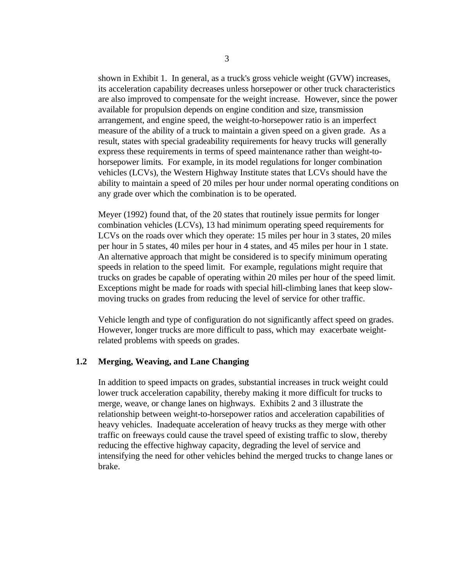shown in Exhibit 1. In general, as a truck's gross vehicle weight (GVW) increases, its acceleration capability decreases unless horsepower or other truck characteristics are also improved to compensate for the weight increase. However, since the power available for propulsion depends on engine condition and size, transmission arrangement, and engine speed, the weight-to-horsepower ratio is an imperfect measure of the ability of a truck to maintain a given speed on a given grade. As a result, states with special gradeability requirements for heavy trucks will generally express these requirements in terms of speed maintenance rather than weight-tohorsepower limits. For example, in its model regulations for longer combination vehicles (LCVs), the Western Highway Institute states that LCVs should have the ability to maintain a speed of 20 miles per hour under normal operating conditions on any grade over which the combination is to be operated.

Meyer (1992) found that, of the 20 states that routinely issue permits for longer combination vehicles (LCVs), 13 had minimum operating speed requirements for LCVs on the roads over which they operate: 15 miles per hour in 3 states, 20 miles per hour in 5 states, 40 miles per hour in 4 states, and 45 miles per hour in 1 state. An alternative approach that might be considered is to specify minimum operating speeds in relation to the speed limit. For example, regulations might require that trucks on grades be capable of operating within 20 miles per hour of the speed limit. Exceptions might be made for roads with special hill-climbing lanes that keep slowmoving trucks on grades from reducing the level of service for other traffic.

Vehicle length and type of configuration do not significantly affect speed on grades. However, longer trucks are more difficult to pass, which may exacerbate weightrelated problems with speeds on grades.

#### **1.2 Merging, Weaving, and Lane Changing**

In addition to speed impacts on grades, substantial increases in truck weight could lower truck acceleration capability, thereby making it more difficult for trucks to merge, weave, or change lanes on highways. Exhibits 2 and 3 illustrate the relationship between weight-to-horsepower ratios and acceleration capabilities of heavy vehicles. Inadequate acceleration of heavy trucks as they merge with other traffic on freeways could cause the travel speed of existing traffic to slow, thereby reducing the effective highway capacity, degrading the level of service and intensifying the need for other vehicles behind the merged trucks to change lanes or brake.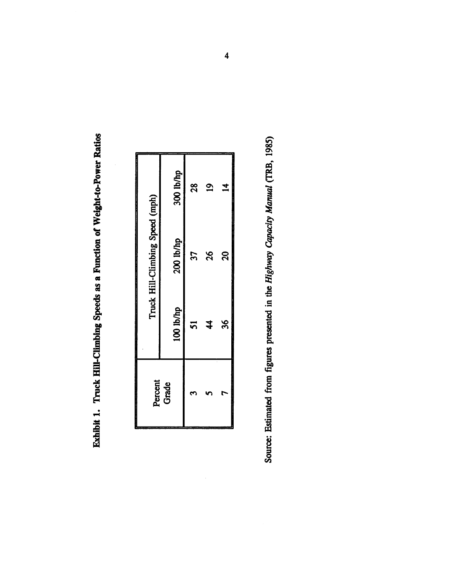Exhibit 1. Truck Hill-Climbing Speeds as a Function of Weight-to-Power Ratios

| Percent<br>Grade | 100 lb/hp<br>ភ | Truck Hill-Climbing Speed (mph)<br>200 lb/hp<br>57 | 300 lb/hp<br>28 |
|------------------|----------------|----------------------------------------------------|-----------------|
| t                | 36<br>\$       | $\overline{20}$<br>26                              | $\overline{a}$  |

Source: Estimated from figures presented in the Highway Capacity Manual (TRB, 1985)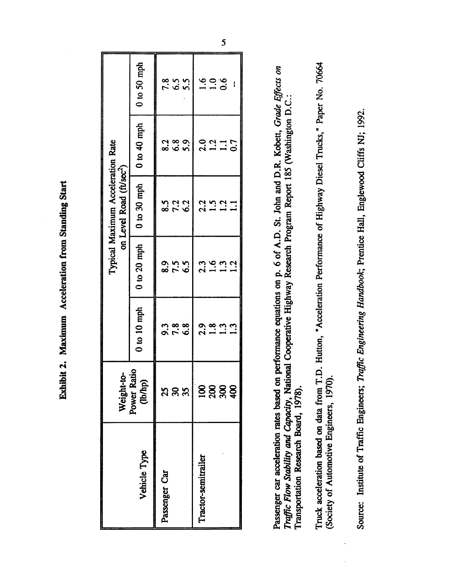Exhibit 2. Maximum Acceleration from Standing Start

|                     | Weight-to-             |                     |                   | Typical Maximum Acceleration Rate<br>on Level Road (ft/sec <sup>2</sup> ) |                         |                                                                                  |
|---------------------|------------------------|---------------------|-------------------|---------------------------------------------------------------------------|-------------------------|----------------------------------------------------------------------------------|
| Vehicle Type        | Power Ratio<br>(lb/hp) | $0$ to $10$ mph     | $0$ to $20$ mph   | $0$ to $30$ mph                                                           | $0$ to $40$ mph         | $0$ to 50 mph                                                                    |
| Passenger Car       |                        |                     |                   |                                                                           |                         |                                                                                  |
|                     | <b>3</b> និង           | 9<br>9 7 8<br>9 7 9 | 8.5<br>8.7<br>8.9 | 822<br>823<br>82                                                          |                         | 2<br>2<br>2<br>2<br>2<br>2<br>2<br>2<br>2<br>2<br>2<br>2<br>2<br>2<br>2<br>2<br> |
|                     |                        |                     |                   |                                                                           |                         |                                                                                  |
| Tractor-semitrailer |                        |                     |                   |                                                                           |                         |                                                                                  |
|                     |                        |                     |                   |                                                                           |                         | $\frac{6}{100}$                                                                  |
|                     | <b>SSS\$</b>           |                     | 2.9621            | 2.521                                                                     | $2.3$<br>$1.1$<br>$0.7$ |                                                                                  |
|                     |                        |                     |                   |                                                                           |                         |                                                                                  |

Passenger car acceleration rates based on performance equations on p. 6 of A.D. St. John and D.R. Kobett, Grade Effects on Traffic Flow Stability and Capacity, National Cooperative Highway Research Program Report 185 (Washington D.C.: Transportation Research Board, 1978). Truck acceleration based on data from T.D. Hutton, "Acceleration Performance of Highway Diesel Trucks," Paper No. 70664 (Society of Automotive Engineers, 1970).

Source: Institute of Traffic Engineers; Traffic Engineering Handbook; Prentice Hall, Englewood Cliffs NJ; 1992.

 $\overline{5}$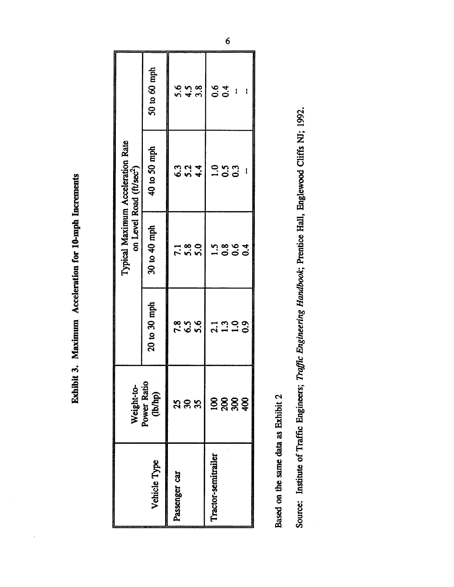Exhibit 3. Maximum Acceleration for 10-mph Increments

|                     | Weight-to-            |                                      |                         | Typical Maximum Acceleration Rate<br>on Level Road (ft/sec <sup>2</sup> ) |                         |
|---------------------|-----------------------|--------------------------------------|-------------------------|---------------------------------------------------------------------------|-------------------------|
| Vehicle Type        | Power Ratio<br>(b/hp) | 20 to 30 mph                         | 30 to 40 mph            | 40 to 50 mph                                                              | 50 to 60 mph            |
| Passenger car       |                       |                                      |                         |                                                                           |                         |
|                     | <b>388</b>            | 8<br>2<br>8<br>2<br>3<br>8<br>3<br>3 | 1 8 0<br>7 5 0<br>7 5 0 |                                                                           | 5<br>15 4 30<br>15 4 30 |
|                     |                       |                                      |                         |                                                                           |                         |
| Tractor-semitrailer |                       |                                      |                         |                                                                           |                         |
|                     | 8888                  | 1.309<br>2.109<br>2.10               | 5<br>0004<br>1000       | 0<br>0<br>0<br>0<br>0<br>0                                                | 0.4                     |
|                     |                       |                                      |                         |                                                                           | $\mathbf{I}$            |
|                     |                       |                                      |                         |                                                                           |                         |

Based on the same data as Exhibit 2

Source: Institute of Traffic Engineers; Traffic Engineering Handbook; Prentice Hall, Englewood Cliffs NJ; 1992.

 $\overline{6}$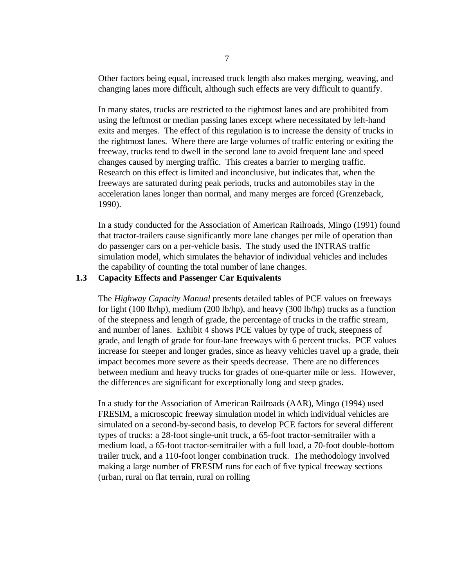Other factors being equal, increased truck length also makes merging, weaving, and changing lanes more difficult, although such effects are very difficult to quantify.

In many states, trucks are restricted to the rightmost lanes and are prohibited from using the leftmost or median passing lanes except where necessitated by left-hand exits and merges. The effect of this regulation is to increase the density of trucks in the rightmost lanes. Where there are large volumes of traffic entering or exiting the freeway, trucks tend to dwell in the second lane to avoid frequent lane and speed changes caused by merging traffic. This creates a barrier to merging traffic. Research on this effect is limited and inconclusive, but indicates that, when the freeways are saturated during peak periods, trucks and automobiles stay in the acceleration lanes longer than normal, and many merges are forced (Grenzeback, 1990).

In a study conducted for the Association of American Railroads, Mingo (1991) found that tractor-trailers cause significantly more lane changes per mile of operation than do passenger cars on a per-vehicle basis. The study used the INTRAS traffic simulation model, which simulates the behavior of individual vehicles and includes the capability of counting the total number of lane changes.

#### **1.3 Capacity Effects and Passenger Car Equivalents**

The *Highway Capacity Manual* presents detailed tables of PCE values on freeways for light (100 lb/hp), medium (200 lb/hp), and heavy (300 lb/hp) trucks as a function of the steepness and length of grade, the percentage of trucks in the traffic stream, and number of lanes. Exhibit 4 shows PCE values by type of truck, steepness of grade, and length of grade for four-lane freeways with 6 percent trucks. PCE values increase for steeper and longer grades, since as heavy vehicles travel up a grade, their impact becomes more severe as their speeds decrease. There are no differences between medium and heavy trucks for grades of one-quarter mile or less. However, the differences are significant for exceptionally long and steep grades.

In a study for the Association of American Railroads (AAR), Mingo (1994) used FRESIM, a microscopic freeway simulation model in which individual vehicles are simulated on a second-by-second basis, to develop PCE factors for several different types of trucks: a 28-foot single-unit truck, a 65-foot tractor-semitrailer with a medium load, a 65-foot tractor-semitrailer with a full load, a 70-foot double-bottom trailer truck, and a 110-foot longer combination truck. The methodology involved making a large number of FRESIM runs for each of five typical freeway sections (urban, rural on flat terrain, rural on rolling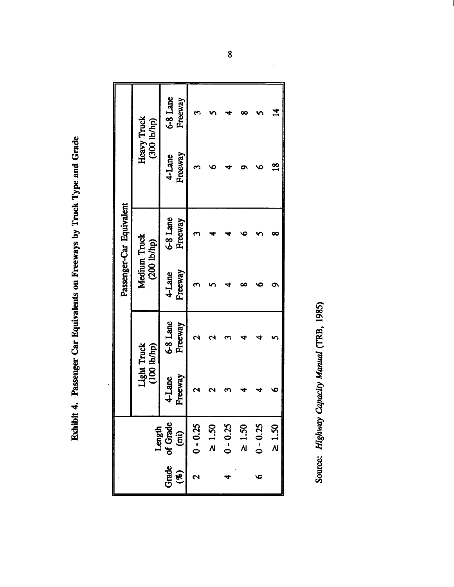Exhibit 4. Passenger Car Equivalents on Freeways by Truck Type and Grade

|                                      |                   |                     |                   | Passenger-Car Equivalent |                   |                                   |
|--------------------------------------|-------------------|---------------------|-------------------|--------------------------|-------------------|-----------------------------------|
|                                      | Light Truck       | $(100$ lb/hp)       | Medium Truck      | (200 1b/hp)              |                   | <b>Heavy Truck</b><br>(300 lb/hp) |
| Length<br>Grade of Grade<br>(%) (mi) | Freeway<br>4-Lane | 6-8 Lane<br>Freeway | Freeway<br>4-Lane | 6-8 Lane<br>Freeway      | Freeway<br>4-Lane | 6-8 Lane<br>Freeway               |
| $0 - 0.25$                           |                   |                     |                   |                          |                   |                                   |
| $\geq 1.50$                          |                   |                     |                   |                          |                   |                                   |
| $0 - 0.25$                           |                   |                     |                   |                          |                   |                                   |
| $\geq 1.50$                          |                   |                     |                   |                          |                   |                                   |
| $0 - 0.25$                           |                   |                     |                   |                          |                   |                                   |
| $\geq 1.50$                          |                   |                     |                   |                          | $\frac{8}{1}$     | $\overline{A}$                    |

Source: Highway Capacity Manual (TRB, 1985)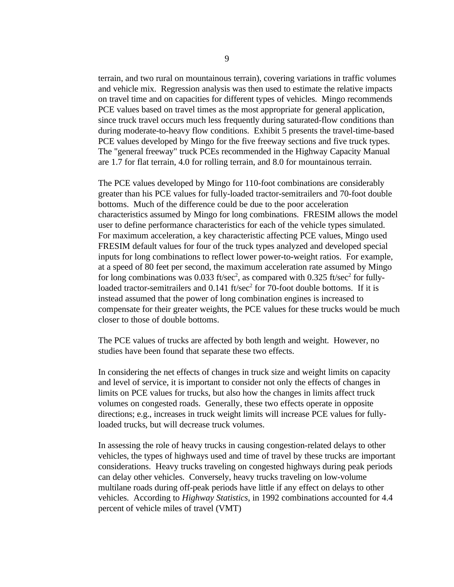terrain, and two rural on mountainous terrain), covering variations in traffic volumes and vehicle mix. Regression analysis was then used to estimate the relative impacts on travel time and on capacities for different types of vehicles. Mingo recommends PCE values based on travel times as the most appropriate for general application, since truck travel occurs much less frequently during saturated-flow conditions than during moderate-to-heavy flow conditions. Exhibit 5 presents the travel-time-based PCE values developed by Mingo for the five freeway sections and five truck types. The "general freeway" truck PCEs recommended in the Highway Capacity Manual are 1.7 for flat terrain, 4.0 for rolling terrain, and 8.0 for mountainous terrain.

The PCE values developed by Mingo for 110-foot combinations are considerably greater than his PCE values for fully-loaded tractor-semitrailers and 70-foot double bottoms. Much of the difference could be due to the poor acceleration characteristics assumed by Mingo for long combinations. FRESIM allows the model user to define performance characteristics for each of the vehicle types simulated. For maximum acceleration, a key characteristic affecting PCE values, Mingo used FRESIM default values for four of the truck types analyzed and developed special inputs for long combinations to reflect lower power-to-weight ratios. For example, at a speed of 80 feet per second, the maximum acceleration rate assumed by Mingo for long combinations was 0.033 ft/sec<sup>2</sup>, as compared with 0.325 ft/sec<sup>2</sup> for fullyloaded tractor-semitrailers and  $0.141$  ft/sec<sup>2</sup> for 70-foot double bottoms. If it is instead assumed that the power of long combination engines is increased to compensate for their greater weights, the PCE values for these trucks would be much closer to those of double bottoms.

The PCE values of trucks are affected by both length and weight. However, no studies have been found that separate these two effects.

In considering the net effects of changes in truck size and weight limits on capacity and level of service, it is important to consider not only the effects of changes in limits on PCE values for trucks, but also how the changes in limits affect truck volumes on congested roads. Generally, these two effects operate in opposite directions; e.g., increases in truck weight limits will increase PCE values for fullyloaded trucks, but will decrease truck volumes.

In assessing the role of heavy trucks in causing congestion-related delays to other vehicles, the types of highways used and time of travel by these trucks are important considerations. Heavy trucks traveling on congested highways during peak periods can delay other vehicles. Conversely, heavy trucks traveling on low-volume multilane roads during off-peak periods have little if any effect on delays to other vehicles. According to *Highway Statistics*, in 1992 combinations accounted for 4.4 percent of vehicle miles of travel (VMT)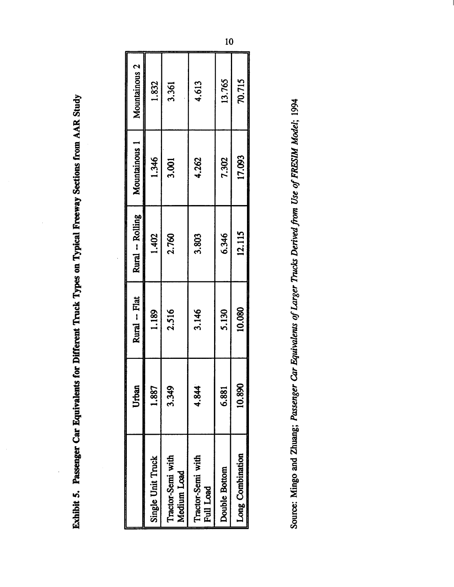Exhibit 5. Passenger Car Equivalents for Different Truck Types on Typical Freeway Sections from AAR Study

|                                       | Urban  | Rural -- Flat | Rural -- Rolling | Mountainous 1 | Mountainous 2 |
|---------------------------------------|--------|---------------|------------------|---------------|---------------|
| Single Unit Truck                     | 1.887  | 1.189         | 1.402            | 1.346         | 1.832         |
| Tractor-Semi with<br>Medium Load      | 3.349  | 2.516         | 2.760            | 3.001         | 3.361         |
| Tractor-Semi with<br><b>Full Load</b> | 4.844  | 3.146         | 3.803            | 4.262         | 4.613         |
| Double Bottom                         | 6.881  | 5.130         | 6.346            | 7.302         | 13.765        |
| Long Combination                      | 10.890 | 10.080        | 12.115           | 17.093        | 70.715        |
|                                       |        |               |                  |               |               |

Source: Mingo and Zhuang; Passenger Car Equivalents of Larger Trucks Derived from Use of FRESIM Model; 1994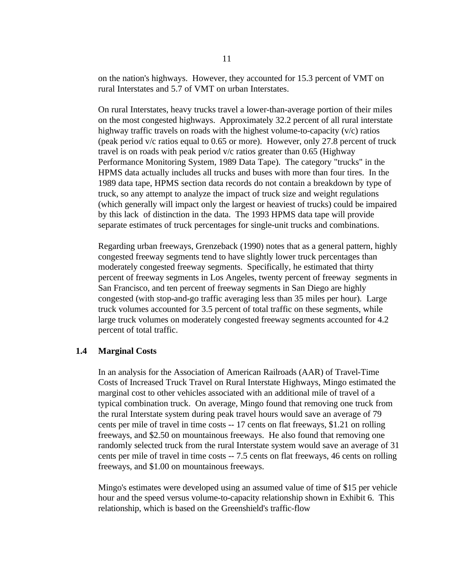on the nation's highways. However, they accounted for 15.3 percent of VMT on rural Interstates and 5.7 of VMT on urban Interstates.

On rural Interstates, heavy trucks travel a lower-than-average portion of their miles on the most congested highways. Approximately 32.2 percent of all rural interstate highway traffic travels on roads with the highest volume-to-capacity (v/c) ratios (peak period v/c ratios equal to 0.65 or more). However, only 27.8 percent of truck travel is on roads with peak period v/c ratios greater than 0.65 (Highway Performance Monitoring System, 1989 Data Tape). The category "trucks" in the HPMS data actually includes all trucks and buses with more than four tires. In the 1989 data tape, HPMS section data records do not contain a breakdown by type of truck, so any attempt to analyze the impact of truck size and weight regulations (which generally will impact only the largest or heaviest of trucks) could be impaired by this lack of distinction in the data. The 1993 HPMS data tape will provide separate estimates of truck percentages for single-unit trucks and combinations.

Regarding urban freeways, Grenzeback (1990) notes that as a general pattern, highly congested freeway segments tend to have slightly lower truck percentages than moderately congested freeway segments. Specifically, he estimated that thirty percent of freeway segments in Los Angeles, twenty percent of freeway segments in San Francisco, and ten percent of freeway segments in San Diego are highly congested (with stop-and-go traffic averaging less than 35 miles per hour). Large truck volumes accounted for 3.5 percent of total traffic on these segments, while large truck volumes on moderately congested freeway segments accounted for 4.2 percent of total traffic.

#### **1.4 Marginal Costs**

In an analysis for the Association of American Railroads (AAR) of Travel-Time Costs of Increased Truck Travel on Rural Interstate Highways, Mingo estimated the marginal cost to other vehicles associated with an additional mile of travel of a typical combination truck. On average, Mingo found that removing one truck from the rural Interstate system during peak travel hours would save an average of 79 cents per mile of travel in time costs -- 17 cents on flat freeways, \$1.21 on rolling freeways, and \$2.50 on mountainous freeways. He also found that removing one randomly selected truck from the rural Interstate system would save an average of 31 cents per mile of travel in time costs -- 7.5 cents on flat freeways, 46 cents on rolling freeways, and \$1.00 on mountainous freeways.

Mingo's estimates were developed using an assumed value of time of \$15 per vehicle hour and the speed versus volume-to-capacity relationship shown in Exhibit 6. This relationship, which is based on the Greenshield's traffic-flow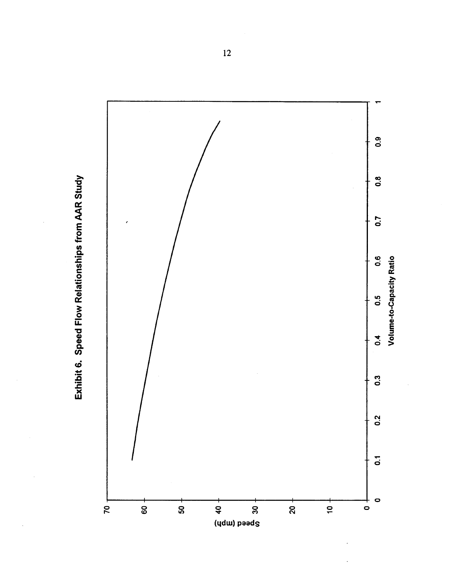

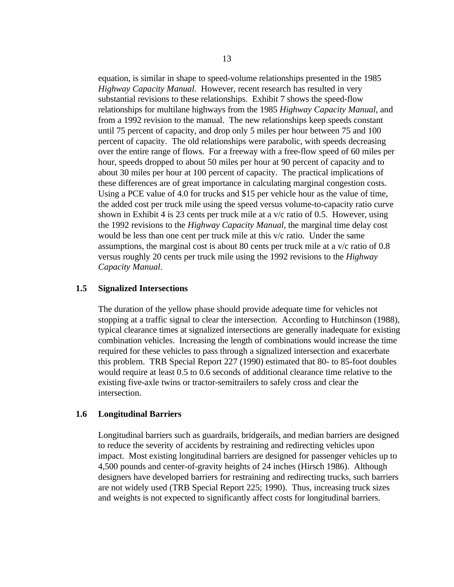equation, is similar in shape to speed-volume relationships presented in the 1985 *Highway Capacity Manual*. However, recent research has resulted in very substantial revisions to these relationships. Exhibit 7 shows the speed-flow relationships for multilane highways from the 1985 *Highway Capacity Manual*, and from a 1992 revision to the manual. The new relationships keep speeds constant until 75 percent of capacity, and drop only 5 miles per hour between 75 and 100 percent of capacity. The old relationships were parabolic, with speeds decreasing over the entire range of flows. For a freeway with a free-flow speed of 60 miles per hour, speeds dropped to about 50 miles per hour at 90 percent of capacity and to about 30 miles per hour at 100 percent of capacity. The practical implications of these differences are of great importance in calculating marginal congestion costs. Using a PCE value of 4.0 for trucks and \$15 per vehicle hour as the value of time, the added cost per truck mile using the speed versus volume-to-capacity ratio curve shown in Exhibit 4 is 23 cents per truck mile at a v/c ratio of 0.5. However, using the 1992 revisions to the *Highway Capacity Manual*, the marginal time delay cost would be less than one cent per truck mile at this v/c ratio. Under the same assumptions, the marginal cost is about 80 cents per truck mile at a v/c ratio of 0.8 versus roughly 20 cents per truck mile using the 1992 revisions to the *Highway Capacity Manual*.

#### **1.5 Signalized Intersections**

The duration of the yellow phase should provide adequate time for vehicles not stopping at a traffic signal to clear the intersection. According to Hutchinson (1988), typical clearance times at signalized intersections are generally inadequate for existing combination vehicles. Increasing the length of combinations would increase the time required for these vehicles to pass through a signalized intersection and exacerbate this problem. TRB Special Report 227 (1990) estimated that 80- to 85-foot doubles would require at least 0.5 to 0.6 seconds of additional clearance time relative to the existing five-axle twins or tractor-semitrailers to safely cross and clear the intersection.

#### **1.6 Longitudinal Barriers**

Longitudinal barriers such as guardrails, bridgerails, and median barriers are designed to reduce the severity of accidents by restraining and redirecting vehicles upon impact. Most existing longitudinal barriers are designed for passenger vehicles up to 4,500 pounds and center-of-gravity heights of 24 inches (Hirsch 1986). Although designers have developed barriers for restraining and redirecting trucks, such barriers are not widely used (TRB Special Report 225; 1990). Thus, increasing truck sizes and weights is not expected to significantly affect costs for longitudinal barriers.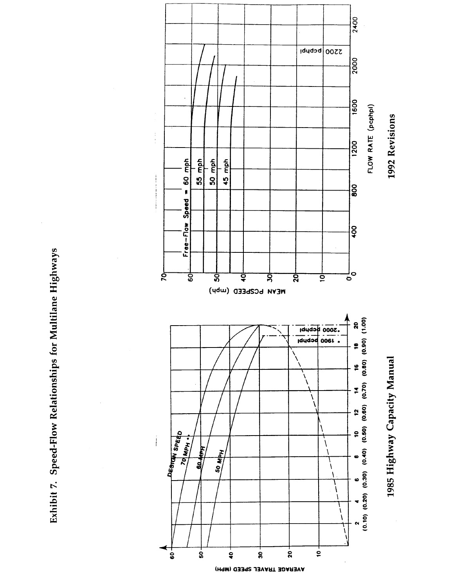

 $\begin{array}{c} 1 \\ 1 \\ 1 \end{array}$ 

Exhibit 7. Speed-Flow Relationships for Multilane Highways

AVERAGE TRAVEL SPEED (MPH)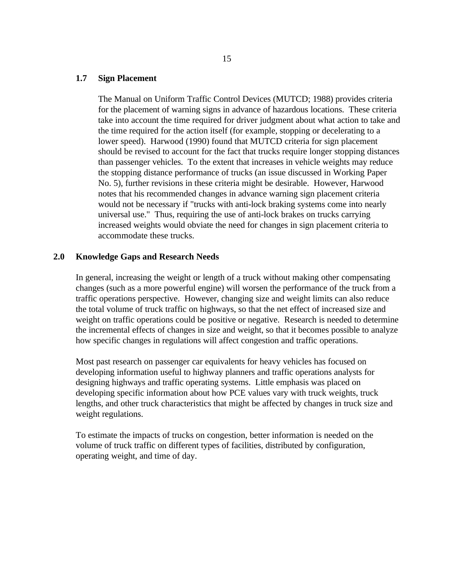#### **1.7 Sign Placement**

The Manual on Uniform Traffic Control Devices (MUTCD; 1988) provides criteria for the placement of warning signs in advance of hazardous locations. These criteria take into account the time required for driver judgment about what action to take and the time required for the action itself (for example, stopping or decelerating to a lower speed). Harwood (1990) found that MUTCD criteria for sign placement should be revised to account for the fact that trucks require longer stopping distances than passenger vehicles. To the extent that increases in vehicle weights may reduce the stopping distance performance of trucks (an issue discussed in Working Paper No. 5), further revisions in these criteria might be desirable. However, Harwood notes that his recommended changes in advance warning sign placement criteria would not be necessary if "trucks with anti-lock braking systems come into nearly universal use." Thus, requiring the use of anti-lock brakes on trucks carrying increased weights would obviate the need for changes in sign placement criteria to accommodate these trucks.

#### **2.0 Knowledge Gaps and Research Needs**

In general, increasing the weight or length of a truck without making other compensating changes (such as a more powerful engine) will worsen the performance of the truck from a traffic operations perspective. However, changing size and weight limits can also reduce the total volume of truck traffic on highways, so that the net effect of increased size and weight on traffic operations could be positive or negative. Research is needed to determine the incremental effects of changes in size and weight, so that it becomes possible to analyze how specific changes in regulations will affect congestion and traffic operations.

Most past research on passenger car equivalents for heavy vehicles has focused on developing information useful to highway planners and traffic operations analysts for designing highways and traffic operating systems. Little emphasis was placed on developing specific information about how PCE values vary with truck weights, truck lengths, and other truck characteristics that might be affected by changes in truck size and weight regulations.

To estimate the impacts of trucks on congestion, better information is needed on the volume of truck traffic on different types of facilities, distributed by configuration, operating weight, and time of day.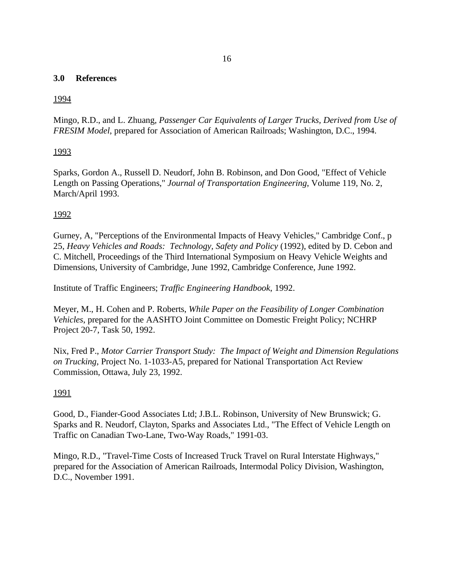#### **3.0 References**

## 1994

Mingo, R.D., and L. Zhuang, *Passenger Car Equivalents of Larger Trucks, Derived from Use of FRESIM Model*, prepared for Association of American Railroads; Washington, D.C., 1994.

## 1993

Sparks, Gordon A., Russell D. Neudorf, John B. Robinson, and Don Good, "Effect of Vehicle Length on Passing Operations," *Journal of Transportation Engineering*, Volume 119, No. 2, March/April 1993.

## 1992

Gurney, A, "Perceptions of the Environmental Impacts of Heavy Vehicles," Cambridge Conf., p 25, *Heavy Vehicles and Roads: Technology, Safety and Policy* (1992), edited by D. Cebon and C. Mitchell, Proceedings of the Third International Symposium on Heavy Vehicle Weights and Dimensions, University of Cambridge, June 1992, Cambridge Conference, June 1992.

Institute of Traffic Engineers; *Traffic Engineering Handbook*, 1992.

Meyer, M., H. Cohen and P. Roberts, *While Paper on the Feasibility of Longer Combination Vehicles*, prepared for the AASHTO Joint Committee on Domestic Freight Policy; NCHRP Project 20-7, Task 50, 1992.

Nix, Fred P., *Motor Carrier Transport Study: The Impact of Weight and Dimension Regulations on Trucking*, Project No. 1-1033-A5, prepared for National Transportation Act Review Commission, Ottawa, July 23, 1992.

## 1991

Good, D., Fiander-Good Associates Ltd; J.B.L. Robinson, University of New Brunswick; G. Sparks and R. Neudorf, Clayton, Sparks and Associates Ltd., "The Effect of Vehicle Length on Traffic on Canadian Two-Lane, Two-Way Roads," 1991-03.

Mingo, R.D., "Travel-Time Costs of Increased Truck Travel on Rural Interstate Highways," prepared for the Association of American Railroads, Intermodal Policy Division, Washington, D.C., November 1991.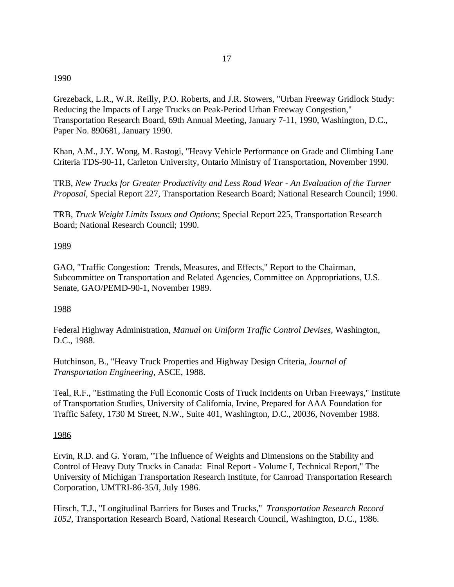#### 1990

Grezeback, L.R., W.R. Reilly, P.O. Roberts, and J.R. Stowers, "Urban Freeway Gridlock Study: Reducing the Impacts of Large Trucks on Peak-Period Urban Freeway Congestion," Transportation Research Board, 69th Annual Meeting, January 7-11, 1990, Washington, D.C., Paper No. 890681, January 1990.

Khan, A.M., J.Y. Wong, M. Rastogi, "Heavy Vehicle Performance on Grade and Climbing Lane Criteria TDS-90-11, Carleton University, Ontario Ministry of Transportation, November 1990.

TRB, *New Trucks for Greater Productivity and Less Road Wear - An Evaluation of the Turner Proposal*, Special Report 227, Transportation Research Board; National Research Council; 1990.

TRB, *Truck Weight Limits Issues and Options*; Special Report 225, Transportation Research Board; National Research Council; 1990.

#### 1989

GAO, "Traffic Congestion: Trends, Measures, and Effects," Report to the Chairman, Subcommittee on Transportation and Related Agencies, Committee on Appropriations, U.S. Senate, GAO/PEMD-90-1, November 1989.

#### 1988

Federal Highway Administration, *Manual on Uniform Traffic Control Devises*, Washington, D.C., 1988.

Hutchinson, B., "Heavy Truck Properties and Highway Design Criteria, *Journal of Transportation Engineering*, ASCE, 1988.

Teal, R.F., "Estimating the Full Economic Costs of Truck Incidents on Urban Freeways," Institute of Transportation Studies, University of California, Irvine, Prepared for AAA Foundation for Traffic Safety, 1730 M Street, N.W., Suite 401, Washington, D.C., 20036, November 1988.

#### 1986

Ervin, R.D. and G. Yoram, "The Influence of Weights and Dimensions on the Stability and Control of Heavy Duty Trucks in Canada: Final Report - Volume I, Technical Report," The University of Michigan Transportation Research Institute, for Canroad Transportation Research Corporation, UMTRI-86-35/I, July 1986.

Hirsch, T.J., "Longitudinal Barriers for Buses and Trucks," *Transportation Research Record 1052*, Transportation Research Board, National Research Council, Washington, D.C., 1986.